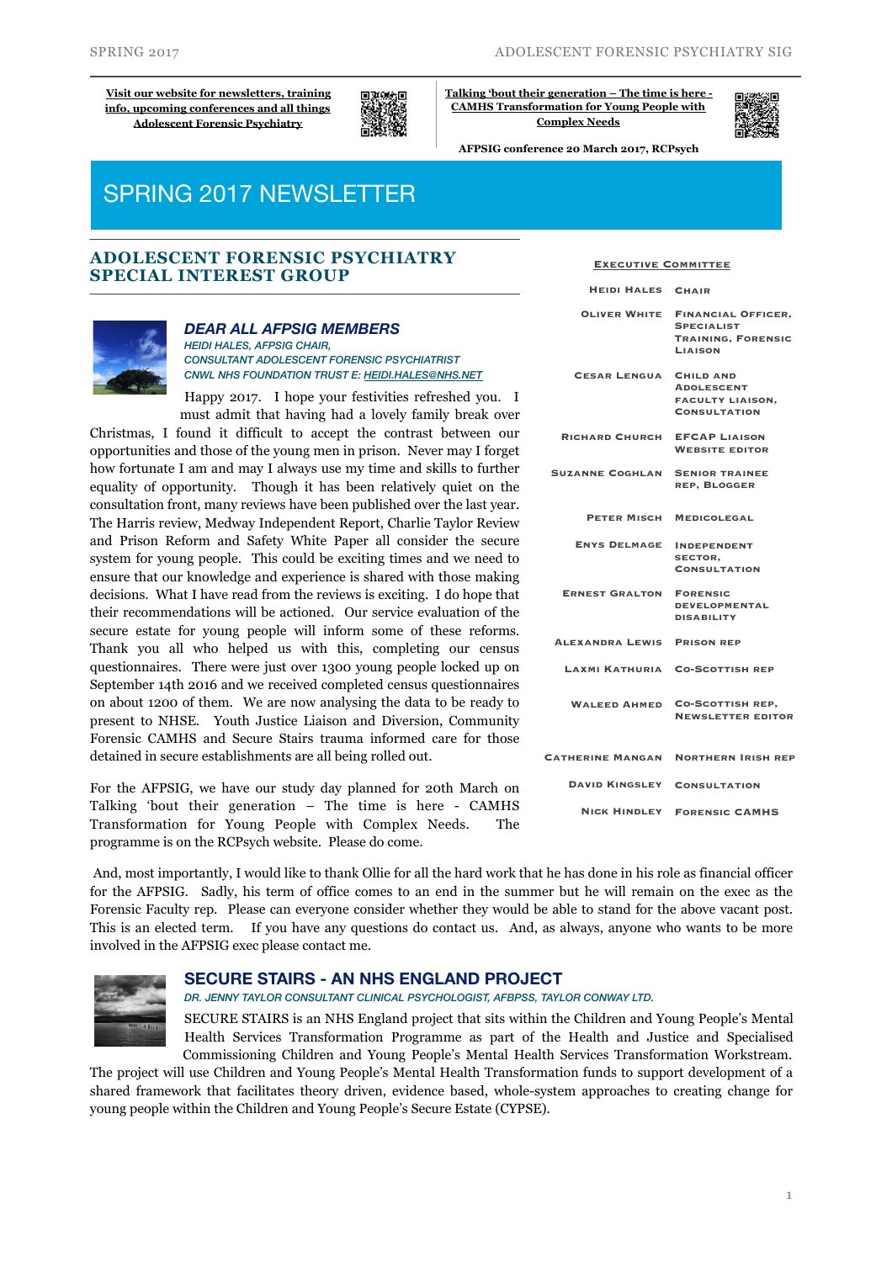**[Visit our website for newsletters, training](http://www.rcpsych.ac.uk/workinpsychiatry/specialinterestgroups/adolescentforensicpsychiatry.aspx)  [info, upcoming conferences and all things](http://www.rcpsych.ac.uk/workinpsychiatry/specialinterestgroups/adolescentforensicpsychiatry.aspx)  [Adolescent Forensic Psychiatry](http://www.rcpsych.ac.uk/workinpsychiatry/specialinterestgroups/adolescentforensicpsychiatry.aspx)**



**[Talking 'bout their generation – The time is here -](http://www.rcpsych.ac.uk/traininpsychiatry/conferencestraining/conferences/afpsigconference2017.aspx)  [CAMHS Transformation for Young People with](http://www.rcpsych.ac.uk/traininpsychiatry/conferencestraining/conferences/afpsigconference2017.aspx)  [Complex Needs](http://www.rcpsych.ac.uk/traininpsychiatry/conferencestraining/conferences/afpsigconference2017.aspx)**

**AFPSIG conference 20 March 2017, RCPsych**

# SPRING 2017 NEWSLETTER

### **ADOLESCENT FORENSIC PSYCHIATRY SPECIAL INTEREST GROUP**



#### *DEAR ALL AFPSIG MEMBERS*

*HEIDI HALES, AFPSIG CHAIR, CONSULTANT ADOLESCENT FORENSIC PSYCHIATRIST CNWL NHS FOUNDATION TRUST E: [HEIDI.HALES@NHS.NET](mailto:heidi.hales@nhs.net)*

Happy 2017. I hope your festivities refreshed you. I must admit that having had a lovely family break over

Christmas, I found it difficult to accept the contrast between our opportunities and those of the young men in prison. Never may I forget how fortunate I am and may I always use my time and skills to further equality of opportunity. Though it has been relatively quiet on the consultation front, many reviews have been published over the last year. The Harris review, Medway Independent Report, Charlie Taylor Review and Prison Reform and Safety White Paper all consider the secure system for young people. This could be exciting times and we need to ensure that our knowledge and experience is shared with those making decisions. What I have read from the reviews is exciting. I do hope that their recommendations will be actioned. Our service evaluation of the secure estate for young people will inform some of these reforms. Thank you all who helped us with this, completing our census questionnaires. There were just over 1300 young people locked up on September 14th 2016 and we received completed census questionnaires on about 1200 of them. We are now analysing the data to be ready to present to NHSE. Youth Justice Liaison and Diversion, Community Forensic CAMHS and Secure Stairs trauma informed care for those detained in secure establishments are all being rolled out.

For the AFPSIG, we have our study day planned for 20th March on Talking 'bout their generation – The time is here - CAMHS Transformation for Young People with Complex Needs. The programme is on the RCPsych website. Please do come.

| <b>HEIDI HALES</b>      | <b>CHAIR</b>                                                                            |
|-------------------------|-----------------------------------------------------------------------------------------|
| <b>OLIVER WHITE</b>     | <b>FINANCIAL OFFICER.</b><br><b>SPECIALIST</b><br><b>TRAINING, FORENSIC</b><br>LIAISON  |
| <b>CESAR LENGUA</b>     | <b>CHILD AND</b><br><b>ADOLESCENT</b><br><b>FACULTY LIAISON.</b><br><b>CONSULTATION</b> |
| <b>RICHARD CHURCH</b>   | <b>EFCAP LIAISON</b><br><b>WEBSITE EDITOR</b>                                           |
| <b>SUZANNE COGHLAN</b>  | <b>SENIOR TRAINEE</b><br><b>REP. BLOGGER</b>                                            |
| PETER MISCH             | <b>MEDICOLEGAL</b>                                                                      |
| <b>ENYS DELMAGE</b>     | <b>INDEPENDENT</b><br>SECTOR,<br><b>CONSULTATION</b>                                    |
| <b>ERNEST GRALTON</b>   | <b>FORENSIC</b><br><b>DEVELOPMENTAL</b><br><b>DISABILITY</b>                            |
| ALEXANDRA LEWIS         | <b>PRISON REP</b>                                                                       |
| LAXMI KATHURIA          | <b>CO-SCOTTISH REP</b>                                                                  |
| <b>WALEED AHMED</b>     | <b>CO-SCOTTISH REP,</b><br><b>NEWSLETTER EDITOR</b>                                     |
| <b>CATHERINE MANGAN</b> | <b>NORTHERN IRISH REP</b>                                                               |
| <b>DAVID KINGSLEY</b>   | <b>CONSULTATION</b>                                                                     |
|                         | <b>NICK HINDLEY FORENSIC CAMHS</b>                                                      |

 And, most importantly, I would like to thank Ollie for all the hard work that he has done in his role as financial officer for the AFPSIG. Sadly, his term of office comes to an end in the summer but he will remain on the exec as the Forensic Faculty rep. Please can everyone consider whether they would be able to stand for the above vacant post. This is an elected term. If you have any questions do contact us. And, as always, anyone who wants to be more involved in the AFPSIG exec please contact me.



#### **SECURE STAIRS - AN NHS ENGLAND PROJECT**

*DR. JENNY TAYLOR CONSULTANT CLINICAL PSYCHOLOGIST, AFBPSS, TAYLOR CONWAY LTD.*

SECURE STAIRS is an NHS England project that sits within the Children and Young People's Mental Health Services Transformation Programme as part of the Health and Justice and Specialised Commissioning Children and Young People's Mental Health Services Transformation Workstream.

The project will use Children and Young People's Mental Health Transformation funds to support development of a shared framework that facilitates theory driven, evidence based, whole-system approaches to creating change for young people within the Children and Young People's Secure Estate (CYPSE).